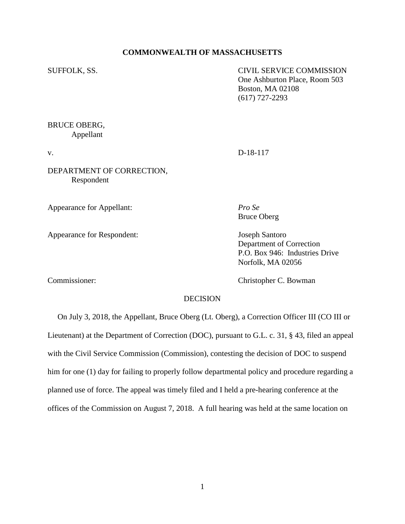#### **COMMONWEALTH OF MASSACHUSETTS**

SUFFOLK, SS. CIVIL SERVICE COMMISSION One Ashburton Place, Room 503 Boston, MA 02108 (617) 727-2293

# BRUCE OBERG, Appellant

v. D-18-117

DEPARTMENT OF CORRECTION, Respondent

Appearance for Appellant: *Pro Se*

Appearance for Respondent: Joseph Santoro

Bruce Oberg

Department of Correction P.O. Box 946: Industries Drive Norfolk, MA 02056

Commissioner: Christopher C. Bowman

# **DECISION**

 On July 3, 2018, the Appellant, Bruce Oberg (Lt. Oberg), a Correction Officer III (CO III or Lieutenant) at the Department of Correction (DOC), pursuant to G.L. c. 31, § 43, filed an appeal with the Civil Service Commission (Commission), contesting the decision of DOC to suspend him for one (1) day for failing to properly follow departmental policy and procedure regarding a planned use of force. The appeal was timely filed and I held a pre-hearing conference at the offices of the Commission on August 7, 2018. A full hearing was held at the same location on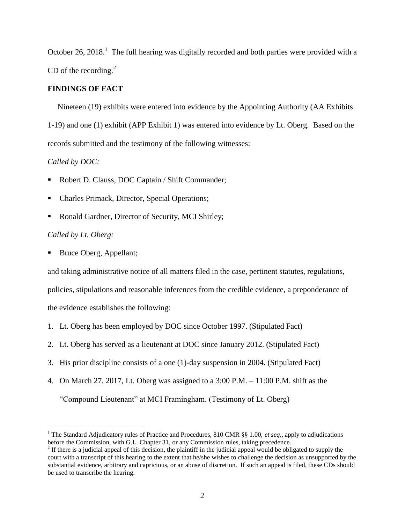October 26, 2018.<sup>1</sup> The full hearing was digitally recorded and both parties were provided with a CD of the recording. $^{2}$ 

## **FINDINGS OF FACT**

 Nineteen (19) exhibits were entered into evidence by the Appointing Authority (AA Exhibits 1-19) and one (1) exhibit (APP Exhibit 1) was entered into evidence by Lt. Oberg. Based on the records submitted and the testimony of the following witnesses:

## *Called by DOC:*

- Robert D. Clauss, DOC Captain / Shift Commander;
- Charles Primack, Director, Special Operations;
- Ronald Gardner, Director of Security, MCI Shirley;

## *Called by Lt. Oberg:*

 $\overline{a}$ 

Bruce Oberg, Appellant;

and taking administrative notice of all matters filed in the case, pertinent statutes, regulations, policies, stipulations and reasonable inferences from the credible evidence, a preponderance of the evidence establishes the following:

- 1. Lt. Oberg has been employed by DOC since October 1997. (Stipulated Fact)
- 2. Lt. Oberg has served as a lieutenant at DOC since January 2012. (Stipulated Fact)
- 3. His prior discipline consists of a one (1)-day suspension in 2004. (Stipulated Fact)
- 4. On March 27, 2017, Lt. Oberg was assigned to a 3:00 P.M. 11:00 P.M. shift as the

"Compound Lieutenant" at MCI Framingham. (Testimony of Lt. Oberg)

<sup>1</sup> The Standard Adjudicatory rules of Practice and Procedures, 810 CMR §§ 1.00, *et seq*., apply to adjudications before the Commission, with G.L. Chapter 31, or any Commission rules, taking precedence.

 $2<sup>2</sup>$  If there is a judicial appeal of this decision, the plaintiff in the judicial appeal would be obligated to supply the court with a transcript of this hearing to the extent that he/she wishes to challenge the decision as unsupported by the substantial evidence, arbitrary and capricious, or an abuse of discretion. If such an appeal is filed, these CDs should be used to transcribe the hearing.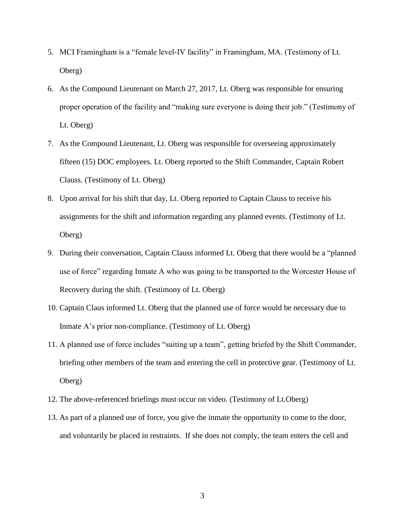- 5. MCI Framingham is a "female level-IV facility" in Framingham, MA. (Testimony of Lt. Oberg)
- 6. As the Compound Lieutenant on March 27, 2017, Lt. Oberg was responsible for ensuring proper operation of the facility and "making sure everyone is doing their job." (Testimony of Lt. Oberg)
- 7. As the Compound Lieutenant, Lt. Oberg was responsible for overseeing approximately fifteen (15) DOC employees. Lt. Oberg reported to the Shift Commander, Captain Robert Clauss. (Testimony of Lt. Oberg)
- 8. Upon arrival for his shift that day, Lt. Oberg reported to Captain Clauss to receive his assignments for the shift and information regarding any planned events. (Testimony of Lt. Oberg)
- 9. During their conversation, Captain Clauss informed Lt. Oberg that there would be a "planned use of force" regarding Inmate A who was going to be transported to the Worcester House of Recovery during the shift. (Testimony of Lt. Oberg)
- 10. Captain Claus informed Lt. Oberg that the planned use of force would be necessary due to Inmate A's prior non-compliance. (Testimony of Lt. Oberg)
- 11. A planned use of force includes "suiting up a team", getting briefed by the Shift Commander, briefing other members of the team and entering the cell in protective gear. (Testimony of Lt. Oberg)
- 12. The above-referenced briefings must occur on video. (Testimony of Lt.Oberg)
- 13. As part of a planned use of force, you give the inmate the opportunity to come to the door, and voluntarily be placed in restraints. If she does not comply, the team enters the cell and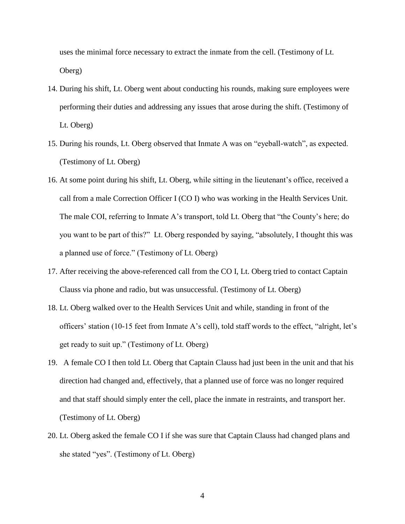uses the minimal force necessary to extract the inmate from the cell. (Testimony of Lt. Oberg)

- 14. During his shift, Lt. Oberg went about conducting his rounds, making sure employees were performing their duties and addressing any issues that arose during the shift. (Testimony of Lt. Oberg)
- 15. During his rounds, Lt. Oberg observed that Inmate A was on "eyeball-watch", as expected. (Testimony of Lt. Oberg)
- 16. At some point during his shift, Lt. Oberg, while sitting in the lieutenant's office, received a call from a male Correction Officer I (CO I) who was working in the Health Services Unit. The male COI, referring to Inmate A's transport, told Lt. Oberg that "the County's here; do you want to be part of this?" Lt. Oberg responded by saying, "absolutely, I thought this was a planned use of force." (Testimony of Lt. Oberg)
- 17. After receiving the above-referenced call from the CO I, Lt. Oberg tried to contact Captain Clauss via phone and radio, but was unsuccessful. (Testimony of Lt. Oberg)
- 18. Lt. Oberg walked over to the Health Services Unit and while, standing in front of the officers' station (10-15 feet from Inmate A's cell), told staff words to the effect, "alright, let's get ready to suit up." (Testimony of Lt. Oberg)
- 19. A female CO I then told Lt. Oberg that Captain Clauss had just been in the unit and that his direction had changed and, effectively, that a planned use of force was no longer required and that staff should simply enter the cell, place the inmate in restraints, and transport her. (Testimony of Lt. Oberg)
- 20. Lt. Oberg asked the female CO I if she was sure that Captain Clauss had changed plans and she stated "yes". (Testimony of Lt. Oberg)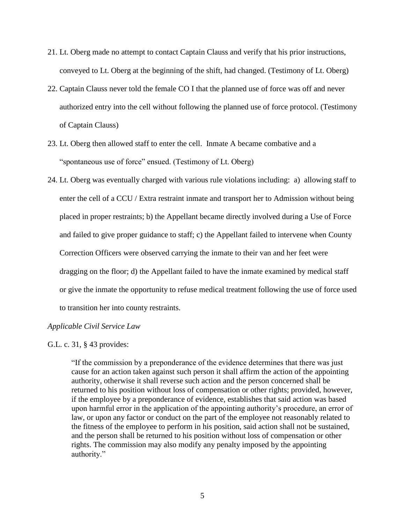- 21. Lt. Oberg made no attempt to contact Captain Clauss and verify that his prior instructions, conveyed to Lt. Oberg at the beginning of the shift, had changed. (Testimony of Lt. Oberg)
- 22. Captain Clauss never told the female CO I that the planned use of force was off and never authorized entry into the cell without following the planned use of force protocol. (Testimony of Captain Clauss)
- 23. Lt. Oberg then allowed staff to enter the cell. Inmate A became combative and a "spontaneous use of force" ensued. (Testimony of Lt. Oberg)
- 24. Lt. Oberg was eventually charged with various rule violations including: a) allowing staff to enter the cell of a CCU / Extra restraint inmate and transport her to Admission without being placed in proper restraints; b) the Appellant became directly involved during a Use of Force and failed to give proper guidance to staff; c) the Appellant failed to intervene when County Correction Officers were observed carrying the inmate to their van and her feet were dragging on the floor; d) the Appellant failed to have the inmate examined by medical staff or give the inmate the opportunity to refuse medical treatment following the use of force used to transition her into county restraints.

#### *Applicable Civil Service Law*

G.L. c. 31, § 43 provides:

"If the commission by a preponderance of the evidence determines that there was just cause for an action taken against such person it shall affirm the action of the appointing authority, otherwise it shall reverse such action and the person concerned shall be returned to his position without loss of compensation or other rights; provided, however, if the employee by a preponderance of evidence, establishes that said action was based upon harmful error in the application of the appointing authority's procedure, an error of law, or upon any factor or conduct on the part of the employee not reasonably related to the fitness of the employee to perform in his position, said action shall not be sustained, and the person shall be returned to his position without loss of compensation or other rights. The commission may also modify any penalty imposed by the appointing authority."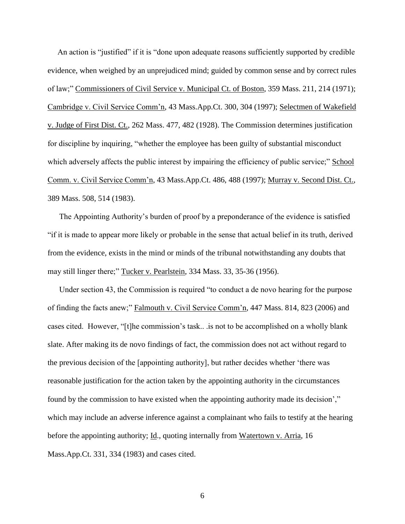An action is "justified" if it is "done upon adequate reasons sufficiently supported by credible evidence, when weighed by an unprejudiced mind; guided by common sense and by correct rules of law;" Commissioners of Civil Service v. Municipal Ct. of Boston, 359 Mass. 211, 214 (1971); Cambridge v. Civil Service Comm'n, 43 Mass.App.Ct. 300, 304 (1997); Selectmen of Wakefield v. Judge of First Dist. Ct., 262 Mass. 477, 482 (1928). The Commission determines justification for discipline by inquiring, "whether the employee has been guilty of substantial misconduct which adversely affects the public interest by impairing the efficiency of public service;" School Comm. v. Civil Service Comm'n, 43 Mass.App.Ct. 486, 488 (1997); Murray v. Second Dist. Ct., 389 Mass. 508, 514 (1983).

The Appointing Authority's burden of proof by a preponderance of the evidence is satisfied "if it is made to appear more likely or probable in the sense that actual belief in its truth, derived from the evidence, exists in the mind or minds of the tribunal notwithstanding any doubts that may still linger there;" Tucker v. Pearlstein, 334 Mass. 33, 35-36 (1956).

Under section 43, the Commission is required "to conduct a de novo hearing for the purpose of finding the facts anew;" Falmouth v. Civil Service Comm'n, 447 Mass. 814, 823 (2006) and cases cited. However, "[t]he commission's task.. .is not to be accomplished on a wholly blank slate. After making its de novo findings of fact, the commission does not act without regard to the previous decision of the [appointing authority], but rather decides whether 'there was reasonable justification for the action taken by the appointing authority in the circumstances found by the commission to have existed when the appointing authority made its decision'," which may include an adverse inference against a complainant who fails to testify at the hearing before the appointing authority; Id., quoting internally from Watertown v. Arria, 16 Mass.App.Ct. 331, 334 (1983) and cases cited.

6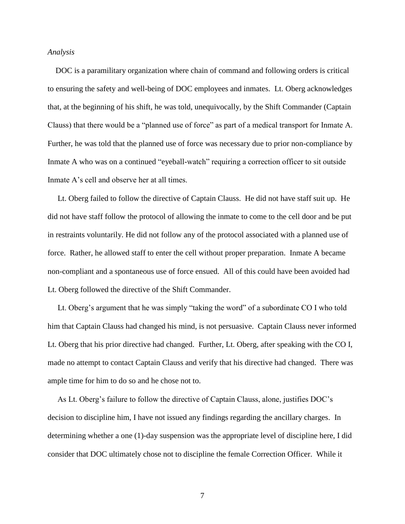#### *Analysis*

 DOC is a paramilitary organization where chain of command and following orders is critical to ensuring the safety and well-being of DOC employees and inmates. Lt. Oberg acknowledges that, at the beginning of his shift, he was told, unequivocally, by the Shift Commander (Captain Clauss) that there would be a "planned use of force" as part of a medical transport for Inmate A. Further, he was told that the planned use of force was necessary due to prior non-compliance by Inmate A who was on a continued "eyeball-watch" requiring a correction officer to sit outside Inmate A's cell and observe her at all times.

 Lt. Oberg failed to follow the directive of Captain Clauss. He did not have staff suit up. He did not have staff follow the protocol of allowing the inmate to come to the cell door and be put in restraints voluntarily. He did not follow any of the protocol associated with a planned use of force. Rather, he allowed staff to enter the cell without proper preparation. Inmate A became non-compliant and a spontaneous use of force ensued. All of this could have been avoided had Lt. Oberg followed the directive of the Shift Commander.

 Lt. Oberg's argument that he was simply "taking the word" of a subordinate CO I who told him that Captain Clauss had changed his mind, is not persuasive. Captain Clauss never informed Lt. Oberg that his prior directive had changed. Further, Lt. Oberg, after speaking with the CO I, made no attempt to contact Captain Clauss and verify that his directive had changed. There was ample time for him to do so and he chose not to.

 As Lt. Oberg's failure to follow the directive of Captain Clauss, alone, justifies DOC's decision to discipline him, I have not issued any findings regarding the ancillary charges. In determining whether a one (1)-day suspension was the appropriate level of discipline here, I did consider that DOC ultimately chose not to discipline the female Correction Officer. While it

7